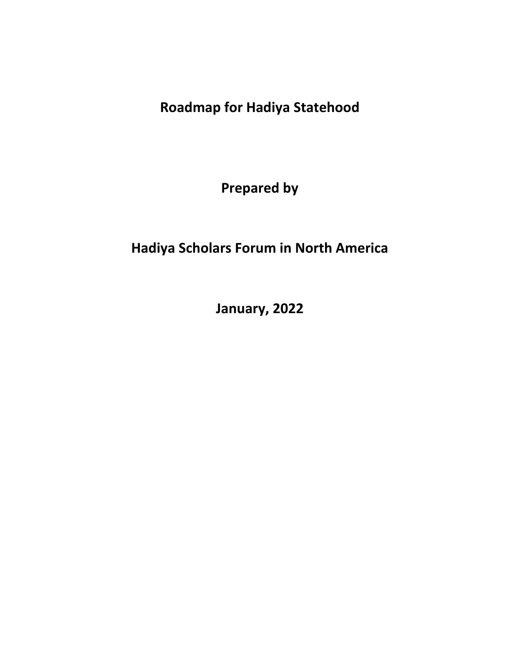**Roadmap for Hadiya Statehood**

**Prepared by** 

# **Hadiya Scholars Forum in North America**

**January, 2022**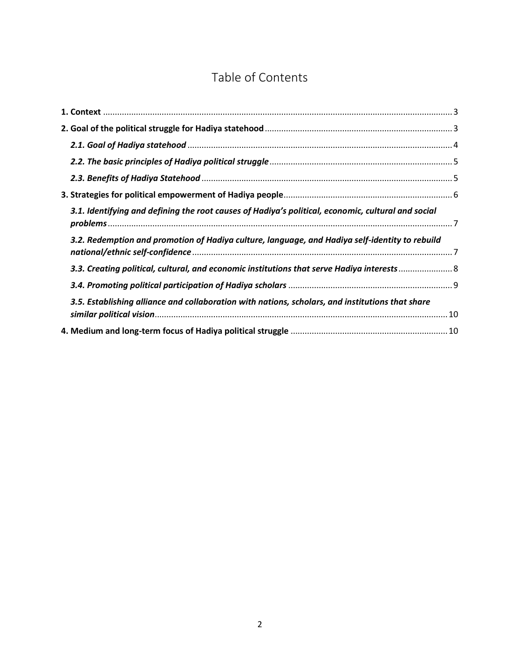# Table of Contents

| 3.1. Identifying and defining the root causes of Hadiya's political, economic, cultural and social |  |
|----------------------------------------------------------------------------------------------------|--|
| 3.2. Redemption and promotion of Hadiya culture, language, and Hadiya self-identity to rebuild     |  |
| 3.3. Creating political, cultural, and economic institutions that serve Hadiya interests           |  |
|                                                                                                    |  |
| 3.5. Establishing alliance and collaboration with nations, scholars, and institutions that share   |  |
|                                                                                                    |  |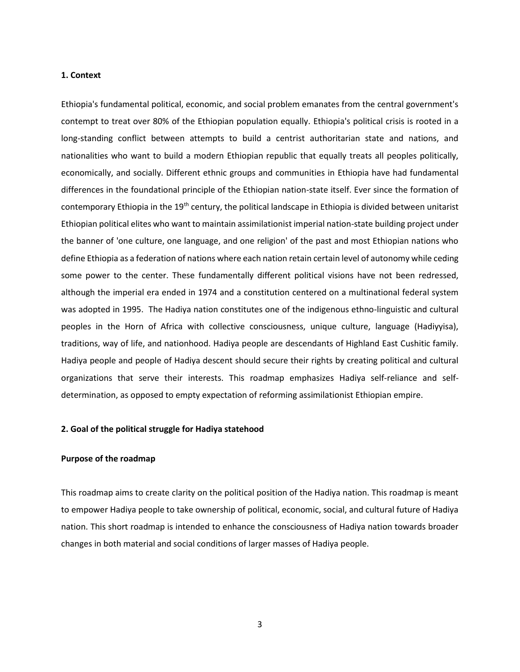## <span id="page-2-0"></span>**1. Context**

Ethiopia's fundamental political, economic, and social problem emanates from the central government's contempt to treat over 80% of the Ethiopian population equally. Ethiopia's political crisis is rooted in a long-standing conflict between attempts to build a centrist authoritarian state and nations, and nationalities who want to build a modern Ethiopian republic that equally treats all peoples politically, economically, and socially. Different ethnic groups and communities in Ethiopia have had fundamental differences in the foundational principle of the Ethiopian nation-state itself. Ever since the formation of contemporary Ethiopia in the 19<sup>th</sup> century, the political landscape in Ethiopia is divided between unitarist Ethiopian political elites who want to maintain assimilationist imperial nation-state building project under the banner of 'one culture, one language, and one religion' of the past and most Ethiopian nations who define Ethiopia as a federation of nations where each nation retain certain level of autonomy while ceding some power to the center. These fundamentally different political visions have not been redressed, although the imperial era ended in 1974 and a constitution centered on a multinational federal system was adopted in 1995. The Hadiya nation constitutes one of the indigenous ethno-linguistic and cultural peoples in the Horn of Africa with collective consciousness, unique culture, language (Hadiyyisa), traditions, way of life, and nationhood. Hadiya people are descendants of Highland East Cushitic family. Hadiya people and people of Hadiya descent should secure their rights by creating political and cultural organizations that serve their interests. This roadmap emphasizes Hadiya self-reliance and selfdetermination, as opposed to empty expectation of reforming assimilationist Ethiopian empire.

## <span id="page-2-1"></span>**2. Goal of the political struggle for Hadiya statehood**

## **Purpose of the roadmap**

This roadmap aims to create clarity on the political position of the Hadiya nation. This roadmap is meant to empower Hadiya people to take ownership of political, economic, social, and cultural future of Hadiya nation. This short roadmap is intended to enhance the consciousness of Hadiya nation towards broader changes in both material and social conditions of larger masses of Hadiya people.

3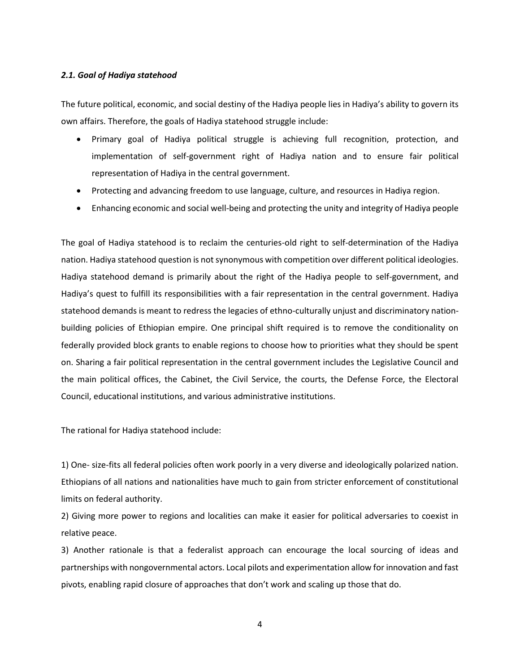#### <span id="page-3-0"></span>*2.1. Goal of Hadiya statehood*

The future political, economic, and social destiny of the Hadiya people lies in Hadiya's ability to govern its own affairs. Therefore, the goals of Hadiya statehood struggle include:

- Primary goal of Hadiya political struggle is achieving full recognition, protection, and implementation of self-government right of Hadiya nation and to ensure fair political representation of Hadiya in the central government.
- Protecting and advancing freedom to use language, culture, and resources in Hadiya region.
- Enhancing economic and social well-being and protecting the unity and integrity of Hadiya people

The goal of Hadiya statehood is to reclaim the centuries-old right to self-determination of the Hadiya nation. Hadiya statehood question is not synonymous with competition over different political ideologies. Hadiya statehood demand is primarily about the right of the Hadiya people to self-government, and Hadiya's quest to fulfill its responsibilities with a fair representation in the central government. Hadiya statehood demands is meant to redress the legacies of ethno-culturally unjust and discriminatory nationbuilding policies of Ethiopian empire. One principal shift required is to remove the conditionality on federally provided block grants to enable regions to choose how to priorities what they should be spent on. Sharing a fair political representation in the central government includes the Legislative Council and the main political offices, the Cabinet, the Civil Service, the courts, the Defense Force, the Electoral Council, educational institutions, and various administrative institutions.

The rational for Hadiya statehood include:

1) One- size-fits all federal policies often work poorly in a very diverse and ideologically polarized nation. Ethiopians of all nations and nationalities have much to gain from stricter enforcement of constitutional limits on federal authority.

2) Giving more power to regions and localities can make it easier for political adversaries to coexist in relative peace.

3) Another rationale is that a federalist approach can encourage the local sourcing of ideas and partnerships with nongovernmental actors. Local pilots and experimentation allow for innovation and fast pivots, enabling rapid closure of approaches that don't work and scaling up those that do.

4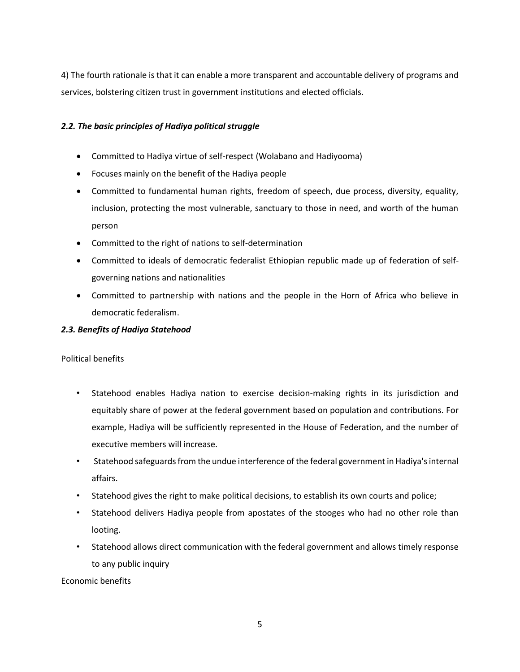4) The fourth rationale is that it can enable a more transparent and accountable delivery of programs and services, bolstering citizen trust in government institutions and elected officials.

## <span id="page-4-0"></span>*2.2. The basic principles of Hadiya political struggle*

- Committed to Hadiya virtue of self-respect (Wolabano and Hadiyooma)
- Focuses mainly on the benefit of the Hadiya people
- Committed to fundamental human rights, freedom of speech, due process, diversity, equality, inclusion, protecting the most vulnerable, sanctuary to those in need, and worth of the human person
- Committed to the right of nations to self-determination
- Committed to ideals of democratic federalist Ethiopian republic made up of federation of selfgoverning nations and nationalities
- Committed to partnership with nations and the people in the Horn of Africa who believe in democratic federalism.

## <span id="page-4-1"></span>*2.3. Benefits of Hadiya Statehood*

## Political benefits

- Statehood enables Hadiya nation to exercise decision-making rights in its jurisdiction and equitably share of power at the federal government based on population and contributions. For example, Hadiya will be sufficiently represented in the House of Federation, and the number of executive members will increase.
- Statehood safeguards from the undue interference of the federal government in Hadiya's internal affairs.
- Statehood gives the right to make political decisions, to establish its own courts and police;
- Statehood delivers Hadiya people from apostates of the stooges who had no other role than looting.
- Statehood allows direct communication with the federal government and allows timely response to any public inquiry

Economic benefits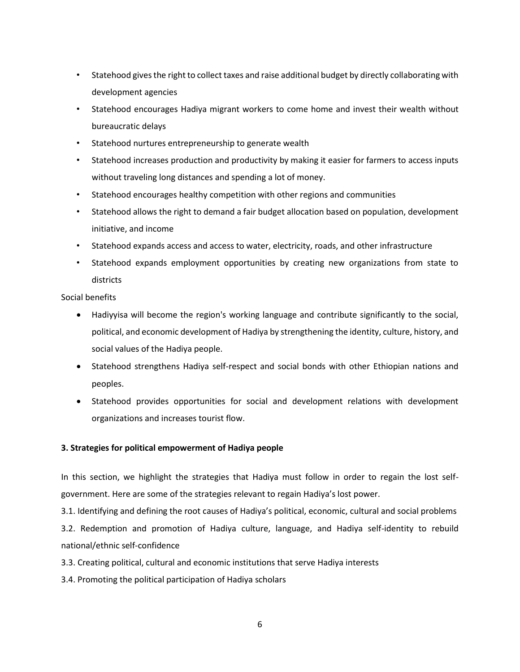- Statehood gives the right to collect taxes and raise additional budget by directly collaborating with development agencies
- Statehood encourages Hadiya migrant workers to come home and invest their wealth without bureaucratic delays
- Statehood nurtures entrepreneurship to generate wealth
- Statehood increases production and productivity by making it easier for farmers to access inputs without traveling long distances and spending a lot of money.
- Statehood encourages healthy competition with other regions and communities
- Statehood allows the right to demand a fair budget allocation based on population, development initiative, and income
- Statehood expands access and access to water, electricity, roads, and other infrastructure
- Statehood expands employment opportunities by creating new organizations from state to districts

Social benefits

- Hadiyyisa will become the region's working language and contribute significantly to the social, political, and economic development of Hadiya by strengthening the identity, culture, history, and social values of the Hadiya people.
- Statehood strengthens Hadiya self-respect and social bonds with other Ethiopian nations and peoples.
- Statehood provides opportunities for social and development relations with development organizations and increases tourist flow.

## <span id="page-5-0"></span>**3. Strategies for political empowerment of Hadiya people**

In this section, we highlight the strategies that Hadiya must follow in order to regain the lost selfgovernment. Here are some of the strategies relevant to regain Hadiya's lost power.

3.1. Identifying and defining the root causes of Hadiya's political, economic, cultural and social problems 3.2. Redemption and promotion of Hadiya culture, language, and Hadiya self-identity to rebuild national/ethnic self-confidence

3.3. Creating political, cultural and economic institutions that serve Hadiya interests

3.4. Promoting the political participation of Hadiya scholars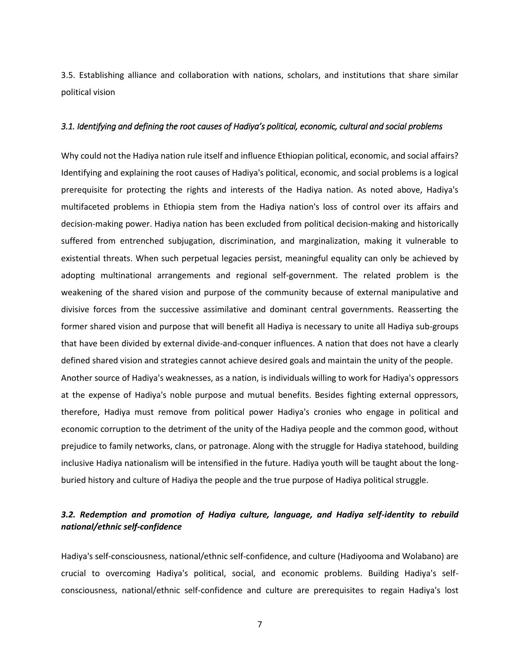3.5. Establishing alliance and collaboration with nations, scholars, and institutions that share similar political vision

## <span id="page-6-0"></span>*3.1. Identifying and defining the root causes of Hadiya's political, economic, cultural and social problems*

Why could not the Hadiya nation rule itself and influence Ethiopian political, economic, and social affairs? Identifying and explaining the root causes of Hadiya's political, economic, and social problems is a logical prerequisite for protecting the rights and interests of the Hadiya nation. As noted above, Hadiya's multifaceted problems in Ethiopia stem from the Hadiya nation's loss of control over its affairs and decision-making power. Hadiya nation has been excluded from political decision-making and historically suffered from entrenched subjugation, discrimination, and marginalization, making it vulnerable to existential threats. When such perpetual legacies persist, meaningful equality can only be achieved by adopting multinational arrangements and regional self-government. The related problem is the weakening of the shared vision and purpose of the community because of external manipulative and divisive forces from the successive assimilative and dominant central governments. Reasserting the former shared vision and purpose that will benefit all Hadiya is necessary to unite all Hadiya sub-groups that have been divided by external divide-and-conquer influences. A nation that does not have a clearly defined shared vision and strategies cannot achieve desired goals and maintain the unity of the people. Another source of Hadiya's weaknesses, as a nation, is individuals willing to work for Hadiya's oppressors at the expense of Hadiya's noble purpose and mutual benefits. Besides fighting external oppressors, therefore, Hadiya must remove from political power Hadiya's cronies who engage in political and economic corruption to the detriment of the unity of the Hadiya people and the common good, without prejudice to family networks, clans, or patronage. Along with the struggle for Hadiya statehood, building inclusive Hadiya nationalism will be intensified in the future. Hadiya youth will be taught about the longburied history and culture of Hadiya the people and the true purpose of Hadiya political struggle.

# <span id="page-6-1"></span>*3.2. Redemption and promotion of Hadiya culture, language, and Hadiya self-identity to rebuild national/ethnic self-confidence*

Hadiya's self-consciousness, national/ethnic self-confidence, and culture (Hadiyooma and Wolabano) are crucial to overcoming Hadiya's political, social, and economic problems. Building Hadiya's selfconsciousness, national/ethnic self-confidence and culture are prerequisites to regain Hadiya's lost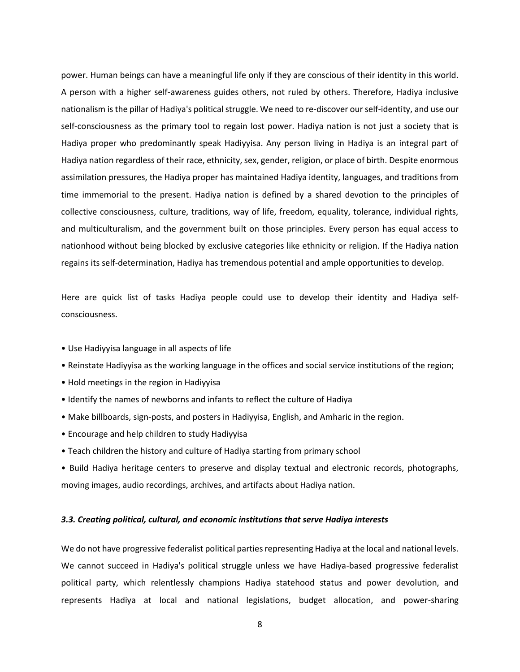power. Human beings can have a meaningful life only if they are conscious of their identity in this world. A person with a higher self-awareness guides others, not ruled by others. Therefore, Hadiya inclusive nationalism is the pillar of Hadiya's political struggle. We need to re-discover our self-identity, and use our self-consciousness as the primary tool to regain lost power. Hadiya nation is not just a society that is Hadiya proper who predominantly speak Hadiyyisa. Any person living in Hadiya is an integral part of Hadiya nation regardless of their race, ethnicity, sex, gender, religion, or place of birth. Despite enormous assimilation pressures, the Hadiya proper has maintained Hadiya identity, languages, and traditions from time immemorial to the present. Hadiya nation is defined by a shared devotion to the principles of collective consciousness, culture, traditions, way of life, freedom, equality, tolerance, individual rights, and multiculturalism, and the government built on those principles. Every person has equal access to nationhood without being blocked by exclusive categories like ethnicity or religion. If the Hadiya nation regains its self-determination, Hadiya has tremendous potential and ample opportunities to develop.

Here are quick list of tasks Hadiya people could use to develop their identity and Hadiya selfconsciousness.

- Use Hadiyyisa language in all aspects of life
- Reinstate Hadiyyisa as the working language in the offices and social service institutions of the region;
- Hold meetings in the region in Hadiyyisa
- Identify the names of newborns and infants to reflect the culture of Hadiya
- Make billboards, sign-posts, and posters in Hadiyyisa, English, and Amharic in the region.
- Encourage and help children to study Hadiyyisa
- Teach children the history and culture of Hadiya starting from primary school
- Build Hadiya heritage centers to preserve and display textual and electronic records, photographs, moving images, audio recordings, archives, and artifacts about Hadiya nation.

## <span id="page-7-0"></span>*3.3. Creating political, cultural, and economic institutions that serve Hadiya interests*

We do not have progressive federalist political parties representing Hadiya at the local and national levels. We cannot succeed in Hadiya's political struggle unless we have Hadiya-based progressive federalist political party, which relentlessly champions Hadiya statehood status and power devolution, and represents Hadiya at local and national legislations, budget allocation, and power-sharing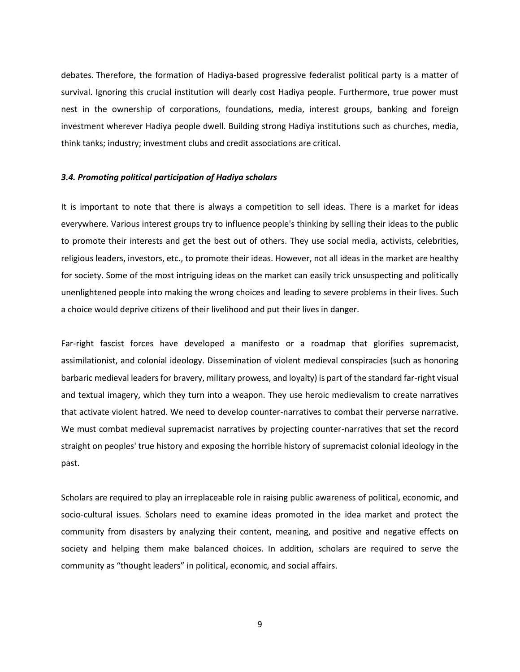debates. Therefore, the formation of Hadiya-based progressive federalist political party is a matter of survival. Ignoring this crucial institution will dearly cost Hadiya people. Furthermore, true power must nest in the ownership of corporations, foundations, media, interest groups, banking and foreign investment wherever Hadiya people dwell. Building strong Hadiya institutions such as churches, media, think tanks; industry; investment clubs and credit associations are critical.

#### <span id="page-8-0"></span>*3.4. Promoting political participation of Hadiya scholars*

It is important to note that there is always a competition to sell ideas. There is a market for ideas everywhere. Various interest groups try to influence people's thinking by selling their ideas to the public to promote their interests and get the best out of others. They use social media, activists, celebrities, religious leaders, investors, etc., to promote their ideas. However, not all ideas in the market are healthy for society. Some of the most intriguing ideas on the market can easily trick unsuspecting and politically unenlightened people into making the wrong choices and leading to severe problems in their lives. Such a choice would deprive citizens of their livelihood and put their lives in danger.

Far-right fascist forces have developed a manifesto or a roadmap that glorifies supremacist, assimilationist, and colonial ideology. Dissemination of violent medieval conspiracies (such as honoring barbaric medieval leaders for bravery, military prowess, and loyalty) is part of the standard far-right visual and textual imagery, which they turn into a weapon. They use heroic medievalism to create narratives that activate violent hatred. We need to develop counter-narratives to combat their perverse narrative. We must combat medieval supremacist narratives by projecting counter-narratives that set the record straight on peoples' true history and exposing the horrible history of supremacist colonial ideology in the past.

Scholars are required to play an irreplaceable role in raising public awareness of political, economic, and socio-cultural issues. Scholars need to examine ideas promoted in the idea market and protect the community from disasters by analyzing their content, meaning, and positive and negative effects on society and helping them make balanced choices. In addition, scholars are required to serve the community as "thought leaders" in political, economic, and social affairs.

9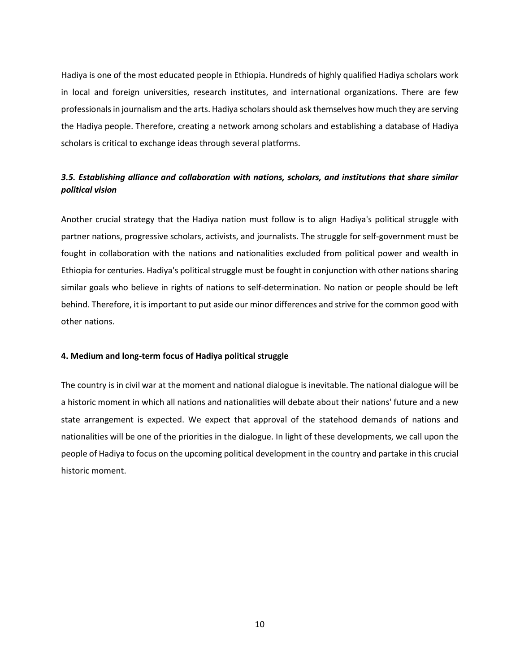Hadiya is one of the most educated people in Ethiopia. Hundreds of highly qualified Hadiya scholars work in local and foreign universities, research institutes, and international organizations. There are few professionals in journalism and the arts. Hadiya scholars should ask themselves how much they are serving the Hadiya people. Therefore, creating a network among scholars and establishing a database of Hadiya scholars is critical to exchange ideas through several platforms.

# <span id="page-9-0"></span>*3.5. Establishing alliance and collaboration with nations, scholars, and institutions that share similar political vision*

Another crucial strategy that the Hadiya nation must follow is to align Hadiya's political struggle with partner nations, progressive scholars, activists, and journalists. The struggle for self-government must be fought in collaboration with the nations and nationalities excluded from political power and wealth in Ethiopia for centuries. Hadiya's political struggle must be fought in conjunction with other nations sharing similar goals who believe in rights of nations to self-determination. No nation or people should be left behind. Therefore, it is important to put aside our minor differences and strive for the common good with other nations.

## <span id="page-9-1"></span>**4. Medium and long-term focus of Hadiya political struggle**

The country is in civil war at the moment and national dialogue is inevitable. The national dialogue will be a historic moment in which all nations and nationalities will debate about their nations' future and a new state arrangement is expected. We expect that approval of the statehood demands of nations and nationalities will be one of the priorities in the dialogue. In light of these developments, we call upon the people of Hadiya to focus on the upcoming political development in the country and partake in this crucial historic moment.